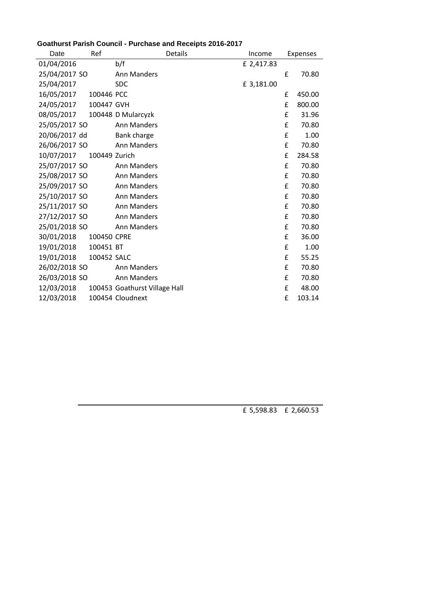| Date          | Ref           |                               | <b>Details</b> | Income     |   | Expenses |
|---------------|---------------|-------------------------------|----------------|------------|---|----------|
| 01/04/2016    |               | b/f                           |                | £ 2,417.83 |   |          |
| 25/04/2017 SO |               | Ann Manders                   |                |            | £ | 70.80    |
| 25/04/2017    |               | <b>SDC</b>                    |                | £ 3,181.00 |   |          |
| 16/05/2017    | 100446 PCC    |                               |                |            | £ | 450.00   |
| 24/05/2017    | 100447 GVH    |                               |                |            | £ | 800.00   |
| 08/05/2017    |               | 100448 D Mularcyzk            |                |            | £ | 31.96    |
| 25/05/2017 SO |               | Ann Manders                   |                |            | £ | 70.80    |
| 20/06/2017 dd |               | Bank charge                   |                |            | £ | 1.00     |
| 26/06/2017 SO |               | Ann Manders                   |                |            | £ | 70.80    |
| 10/07/2017    | 100449 Zurich |                               |                |            | £ | 284.58   |
| 25/07/2017 SO |               | Ann Manders                   |                |            | £ | 70.80    |
| 25/08/2017 SO |               | Ann Manders                   |                |            | £ | 70.80    |
| 25/09/2017 SO |               | Ann Manders                   |                |            | £ | 70.80    |
| 25/10/2017 SO |               | Ann Manders                   |                |            | £ | 70.80    |
| 25/11/2017 SO |               | Ann Manders                   |                |            | £ | 70.80    |
| 27/12/2017 SO |               | Ann Manders                   |                |            | £ | 70.80    |
| 25/01/2018 SO |               | Ann Manders                   |                |            | £ | 70.80    |
| 30/01/2018    | 100450 CPRE   |                               |                |            | £ | 36.00    |
| 19/01/2018    | 100451 BT     |                               |                |            | £ | 1.00     |
| 19/01/2018    | 100452 SALC   |                               |                |            | £ | 55.25    |
| 26/02/2018 SO |               | Ann Manders                   |                |            | £ | 70.80    |
| 26/03/2018 SO |               | Ann Manders                   |                |            | £ | 70.80    |
| 12/03/2018    |               | 100453 Goathurst Village Hall |                |            | £ | 48.00    |
| 12/03/2018    |               | 100454 Cloudnext              |                |            | £ | 103.14   |

## **Goathurst Parish Council - Purchase and Receipts 2016-2017**

£ 5,598.83 £ 2,660.53